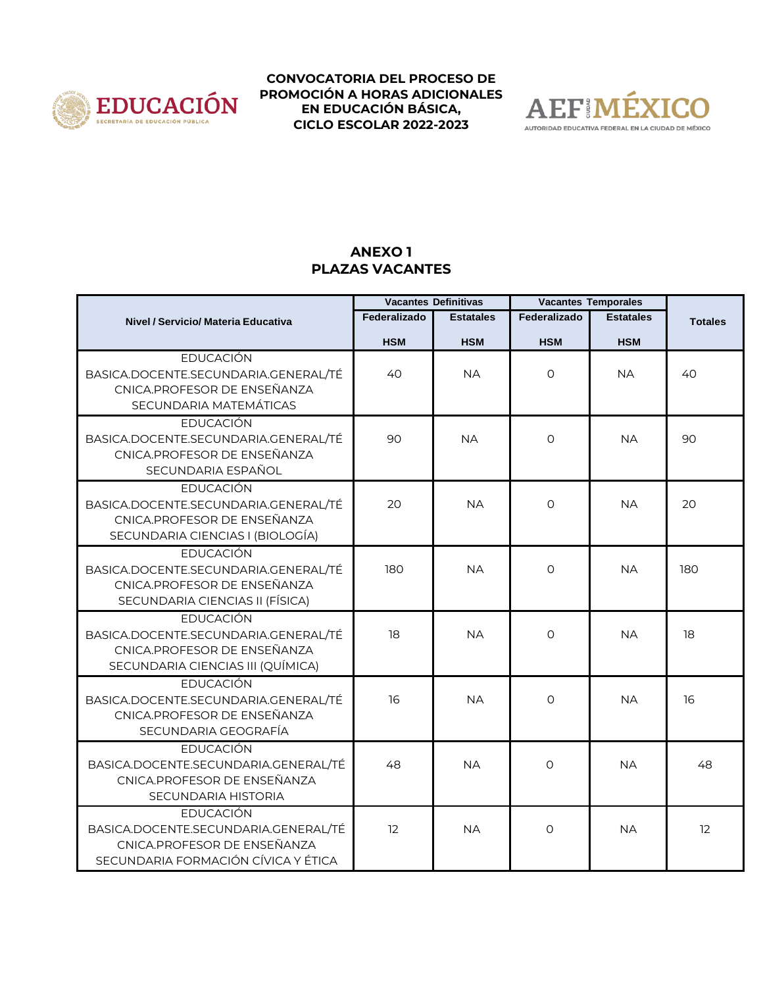



## **ANEXO 1 PLAZAS VACANTES**

|                                                                                                                                | <b>Vacantes Definitivas</b> |                  | <b>Vacantes Temporales</b> |                  |                |
|--------------------------------------------------------------------------------------------------------------------------------|-----------------------------|------------------|----------------------------|------------------|----------------|
| <b>Nivel / Servicio/ Materia Educativa</b>                                                                                     | Federalizado                | <b>Estatales</b> | Federalizado               | <b>Estatales</b> | <b>Totales</b> |
|                                                                                                                                | <b>HSM</b>                  | <b>HSM</b>       | <b>HSM</b>                 | <b>HSM</b>       |                |
| <b>EDUCACIÓN</b><br>BASICA.DOCENTE.SECUNDARIA.GENERAL/TÉ<br>CNICA.PROFESOR DE ENSEÑANZA<br>SECUNDARIA MATEMÁTICAS              | 40                          | <b>NA</b>        | $\circ$                    | <b>NA</b>        | 40             |
| <b>EDUCACIÓN</b><br>BASICA.DOCENTE.SECUNDARIA.GENERAL/TÉ<br>CNICA.PROFESOR DE ENSEÑANZA<br>SECUNDARIA ESPAÑOL                  | 90                          | <b>NA</b>        | $\Omega$                   | <b>NA</b>        | 90             |
| <b>EDUCACIÓN</b><br>BASICA.DOCENTE.SECUNDARIA.GENERAL/TÉ<br>CNICA.PROFESOR DE ENSEÑANZA<br>SECUNDARIA CIENCIAS I (BIOLOGÍA)    | 20                          | <b>NA</b>        | $\Omega$                   | <b>NA</b>        | 20             |
| <b>EDUCACIÓN</b><br>BASICA.DOCENTE.SECUNDARIA.GENERAL/TÉ<br>CNICA.PROFESOR DE ENSEÑANZA<br>SECUNDARIA CIENCIAS II (FÍSICA)     | 180                         | <b>NA</b>        | $\Omega$                   | <b>NA</b>        | 180            |
| <b>EDUCACIÓN</b><br>BASICA.DOCENTE.SECUNDARIA.GENERAL/TÉ<br>CNICA.PROFESOR DE ENSEÑANZA<br>SECUNDARIA CIENCIAS III (QUÍMICA)   | 18                          | <b>NA</b>        | $\circ$                    | <b>NA</b>        | 18             |
| <b>EDUCACIÓN</b><br>BASICA.DOCENTE.SECUNDARIA.GENERAL/TÉ<br>CNICA.PROFESOR DE ENSEÑANZA<br>SECUNDARIA GEOGRAFÍA                | 16                          | <b>NA</b>        | $\circ$                    | <b>NA</b>        | 16             |
| <b>EDUCACIÓN</b><br>BASICA.DOCENTE.SECUNDARIA.GENERAL/TÉ<br>CNICA.PROFESOR DE ENSEÑANZA<br><b>SECUNDARIA HISTORIA</b>          | 48                          | <b>NA</b>        | $\Omega$                   | <b>NA</b>        | 48             |
| <b>EDUCACIÓN</b><br>BASICA.DOCENTE.SECUNDARIA.GENERAL/TÉ<br>CNICA.PROFESOR DE ENSEÑANZA<br>SECUNDARIA FORMACIÓN CÍVICA Y ÉTICA | 12                          | <b>NA</b>        | $\Omega$                   | <b>NA</b>        | 12             |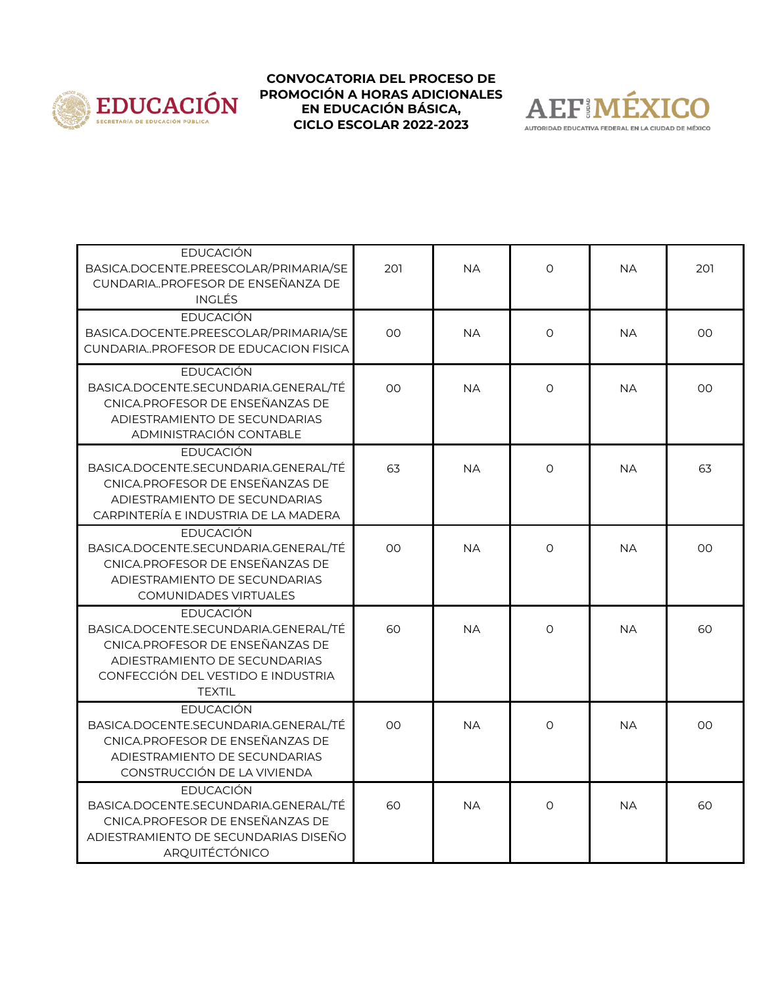



| <b>EDUCACIÓN</b><br>BASICA.DOCENTE.PREESCOLAR/PRIMARIA/SE<br>CUNDARIAPROFESOR DE ENSEÑANZA DE<br><b>INGLÉS</b>                                                               | 201            | <b>NA</b> | $\circ$  | <b>NA</b> | 201 |
|------------------------------------------------------------------------------------------------------------------------------------------------------------------------------|----------------|-----------|----------|-----------|-----|
| <b>EDUCACIÓN</b><br>BASICA.DOCENTE.PREESCOLAR/PRIMARIA/SE<br>CUNDARIAPROFESOR DE EDUCACION FISICA                                                                            | 00             | <b>NA</b> | $\circ$  | <b>NA</b> | OO  |
| <b>EDUCACIÓN</b><br>BASICA.DOCENTE.SECUNDARIA.GENERAL/TÉ<br>CNICA.PROFESOR DE ENSEÑANZAS DE<br>ADIESTRAMIENTO DE SECUNDARIAS<br>ADMINISTRACIÓN CONTABLE                      | 00             | <b>NA</b> | $\Omega$ | <b>NA</b> | OO  |
| <b>EDUCACIÓN</b><br>BASICA.DOCENTE.SECUNDARIA.GENERAL/TÉ<br>CNICA.PROFESOR DE ENSEÑANZAS DE<br>ADIESTRAMIENTO DE SECUNDARIAS<br>CARPINTERÍA E INDUSTRIA DE LA MADERA         | 63             | <b>NA</b> | $\Omega$ | <b>NA</b> | 63  |
| EDUCACIÓN<br>BASICA.DOCENTE.SECUNDARIA.GENERAL/TÉ<br>CNICA.PROFESOR DE ENSEÑANZAS DE<br>ADIESTRAMIENTO DE SECUNDARIAS<br><b>COMUNIDADES VIRTUALES</b>                        | 0 <sup>0</sup> | <b>NA</b> | $\Omega$ | <b>NA</b> | OO  |
| EDUCACIÓN<br>BASICA.DOCENTE.SECUNDARIA.GENERAL/TÉ<br>CNICA.PROFESOR DE ENSEÑANZAS DE<br>ADIESTRAMIENTO DE SECUNDARIAS<br>CONFECCIÓN DEL VESTIDO E INDUSTRIA<br><b>TEXTIL</b> | 60             | <b>NA</b> | $\Omega$ | <b>NA</b> | 60  |
| <b>EDUCACIÓN</b><br>BASICA.DOCENTE.SECUNDARIA.GENERAL/TÉ<br>CNICA.PROFESOR DE ENSEÑANZAS DE<br>ADIESTRAMIENTO DE SECUNDARIAS<br>CONSTRUCCIÓN DE LA VIVIENDA                  | 0 <sup>0</sup> | <b>NA</b> | $\Omega$ | <b>NA</b> | OO  |
| <b>EDUCACIÓN</b><br>BASICA.DOCENTE.SECUNDARIA.GENERAL/TÉ<br>CNICA.PROFESOR DE ENSEÑANZAS DE<br>ADIESTRAMIENTO DE SECUNDARIAS DISEÑO<br>ARQUITÉCTÓNICO                        | 60             | <b>NA</b> | $\Omega$ | <b>NA</b> | 60  |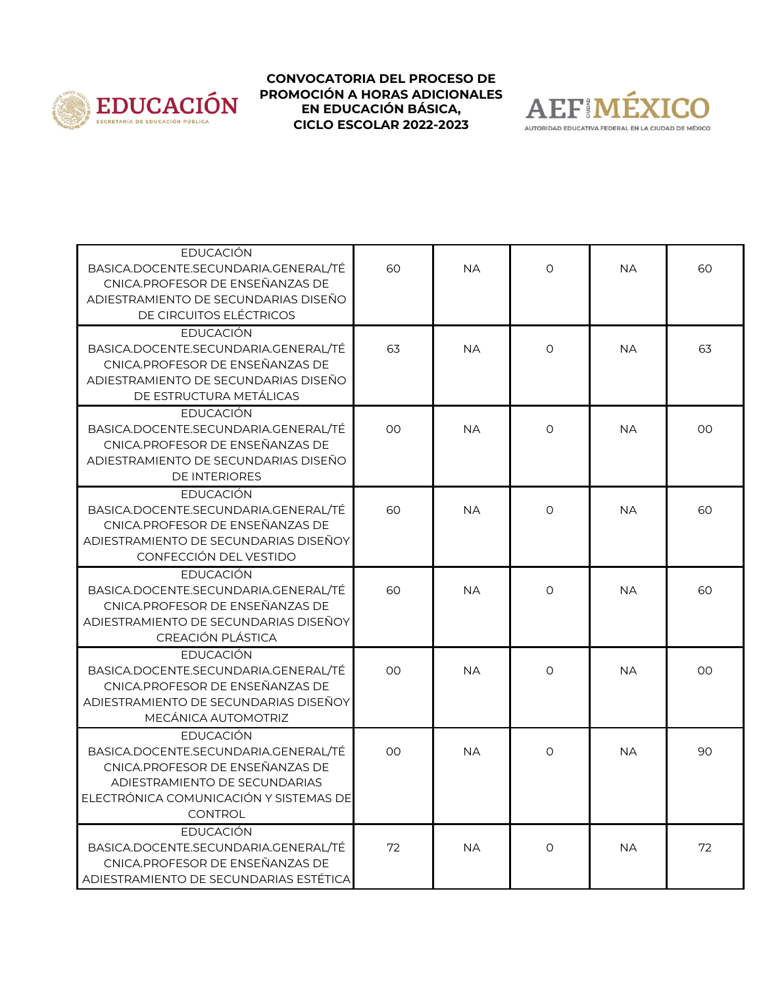



| <b>EDUCACIÓN</b><br>BASICA.DOCENTE.SECUNDARIA.GENERAL/TÉ<br>CNICA.PROFESOR DE ENSEÑANZAS DE<br>ADIESTRAMIENTO DE SECUNDARIAS DISEÑO<br>DE CIRCUITOS ELÉCTRICOS                           | 60 | <b>NA</b> | $\circ$  | <b>NA</b> | 60 |
|------------------------------------------------------------------------------------------------------------------------------------------------------------------------------------------|----|-----------|----------|-----------|----|
| <b>EDUCACIÓN</b><br>BASICA.DOCENTE.SECUNDARIA.GENERAL/TÉ<br>CNICA.PROFESOR DE ENSEÑANZAS DE<br>ADIESTRAMIENTO DE SECUNDARIAS DISEÑO<br>DE ESTRUCTURA METÁLICAS                           | 63 | <b>NA</b> | $\Omega$ | <b>NA</b> | 63 |
| <b>EDUCACIÓN</b><br>BASICA.DOCENTE.SECUNDARIA.GENERAL/TÉ<br>CNICA.PROFESOR DE ENSEÑANZAS DE<br>ADIESTRAMIENTO DE SECUNDARIAS DISEÑO<br><b>DE INTERIORES</b>                              | 00 | <b>NA</b> | $\circ$  | <b>NA</b> | 00 |
| EDUCACIÓN<br>BASICA.DOCENTE.SECUNDARIA.GENERAL/TÉ<br>CNICA.PROFESOR DE ENSEÑANZAS DE<br>ADIESTRAMIENTO DE SECUNDARIAS DISEÑOY<br>CONFECCIÓN DEL VESTIDO                                  | 60 | <b>NA</b> | $\circ$  | <b>NA</b> | 60 |
| <b>EDUCACIÓN</b><br>BASICA.DOCENTE.SECUNDARIA.GENERAL/TÉ<br>CNICA.PROFESOR DE ENSEÑANZAS DE<br>ADIESTRAMIENTO DE SECUNDARIAS DISEÑOY<br>CREACIÓN PLÁSTICA                                | 60 | <b>NA</b> | $\Omega$ | <b>NA</b> | 60 |
| EDUCACIÓN<br>BASICA.DOCENTE.SECUNDARIA.GENERAL/TÉ<br>CNICA.PROFESOR DE ENSEÑANZAS DE<br>ADIESTRAMIENTO DE SECUNDARIAS DISEÑOY<br>MECÁNICA AUTOMOTRIZ                                     | 00 | <b>NA</b> | $\Omega$ | <b>NA</b> | 00 |
| <b>EDUCACIÓN</b><br>BASICA.DOCENTE.SECUNDARIA.GENERAL/TÉ<br>CNICA.PROFESOR DE ENSEÑANZAS DE<br>ADIESTRAMIENTO DE SECUNDARIAS<br>ELECTRÓNICA COMUNICACIÓN Y SISTEMAS DE<br><b>CONTROL</b> | 00 | <b>NA</b> | $\Omega$ | <b>NA</b> | 90 |
| <b>EDUCACIÓN</b><br>BASICA.DOCENTE.SECUNDARIA.GENERAL/TÉ<br>CNICA.PROFESOR DE ENSEÑANZAS DE<br>ADIESTRAMIENTO DE SECUNDARIAS ESTÉTICA                                                    | 72 | <b>NA</b> | $\Omega$ | <b>NA</b> | 72 |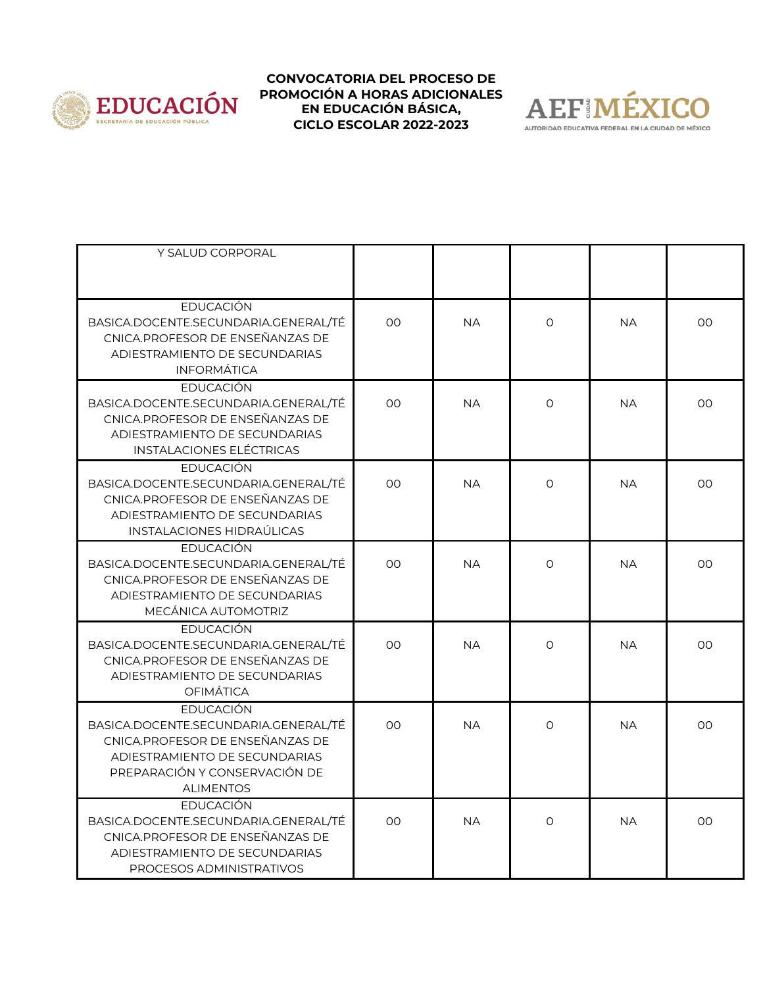



| Y SALUD CORPORAL                                                                                                                                                                  |                |           |          |           |                |
|-----------------------------------------------------------------------------------------------------------------------------------------------------------------------------------|----------------|-----------|----------|-----------|----------------|
|                                                                                                                                                                                   |                |           |          |           |                |
| <b>EDUCACIÓN</b><br>BASICA.DOCENTE.SECUNDARIA.GENERAL/TÉ<br>CNICA.PROFESOR DE ENSEÑANZAS DE<br>ADIESTRAMIENTO DE SECUNDARIAS<br><b>INFORMÁTICA</b>                                | 00             | <b>NA</b> | $\circ$  | <b>NA</b> | 00             |
| EDUCACIÓN<br>BASICA.DOCENTE.SECUNDARIA.GENERAL/TÉ<br>CNICA.PROFESOR DE ENSEÑANZAS DE<br>ADIESTRAMIENTO DE SECUNDARIAS<br><b>INSTALACIONES ELÉCTRICAS</b>                          | OO             | <b>NA</b> | $\Omega$ | <b>NA</b> | 00             |
| <b>EDUCACIÓN</b><br>BASICA.DOCENTE.SECUNDARIA.GENERAL/TÉ<br>CNICA.PROFESOR DE ENSEÑANZAS DE<br>ADIESTRAMIENTO DE SECUNDARIAS<br>INSTALACIONES HIDRAÚLICAS                         | 00             | <b>NA</b> | $\Omega$ | <b>NA</b> | 00             |
| <b>EDUCACIÓN</b><br>BASICA.DOCENTE.SECUNDARIA.GENERAL/TÉ<br>CNICA.PROFESOR DE ENSEÑANZAS DE<br>ADIESTRAMIENTO DE SECUNDARIAS<br>MECÁNICA AUTOMOTRIZ                               | 0 <sup>0</sup> | <b>NA</b> | $\Omega$ | <b>NA</b> | 0 <sup>0</sup> |
| <b>EDUCACIÓN</b><br>BASICA.DOCENTE.SECUNDARIA.GENERAL/TÉ<br>CNICA.PROFESOR DE ENSEÑANZAS DE<br>ADIESTRAMIENTO DE SECUNDARIAS<br><b>OFIMÁTICA</b>                                  | 00             | <b>NA</b> | $\Omega$ | <b>NA</b> | 00             |
| <b>EDUCACIÓN</b><br>BASICA.DOCENTE.SECUNDARIA.GENERAL/TÉ<br>CNICA.PROFESOR DE ENSEÑANZAS DE<br>ADIESTRAMIENTO DE SECUNDARIAS<br>PREPARACIÓN Y CONSERVACIÓN DE<br><b>ALIMENTOS</b> | 00             | <b>NA</b> | $\Omega$ | <b>NA</b> | 00             |
| EDUCACIÓN<br>BASICA.DOCENTE.SECUNDARIA.GENERAL/TÉ<br>CNICA.PROFESOR DE ENSEÑANZAS DE<br>ADIESTRAMIENTO DE SECUNDARIAS<br>PROCESOS ADMINISTRATIVOS                                 | OO             | <b>NA</b> | $\circ$  | <b>NA</b> | 00             |